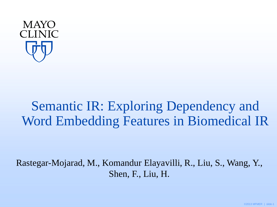

# Semantic IR: Exploring Dependency and Word Embedding Features in Biomedical IR

Rastegar-Mojarad, M., Komandur Elayavilli, R., Liu, S., Wang, Y., Shen, F., Liu, H.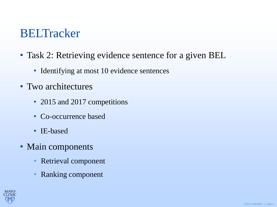## **BELTracker**

- Task 2: Retrieving evidence sentence for a given BEL
	- Identifying at most 10 evidence sentences
- Two architectures
	- 2015 and 2017 competitions
	- Co-occurrence based
	- IE-based
- Main components
	- Retrieval component
	- Ranking component

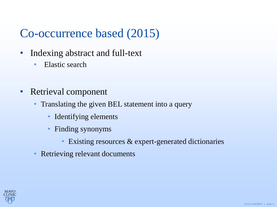## Co-occurrence based (2015)

- Indexing abstract and full-text
	- Elastic search
- Retrieval component
	- Translating the given BEL statement into a query
		- Identifying elements
		- Finding synonyms
			- Existing resources & expert-generated dictionaries
	- Retrieving relevant documents

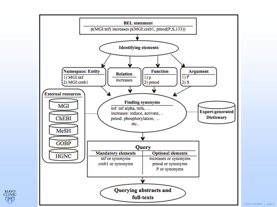

©2013 MFMER | slide-4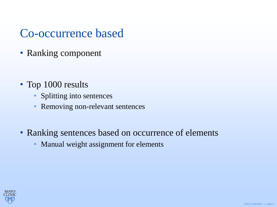## Co-occurrence based

• Ranking component

- Top 1000 results
	- Splitting into sentences
	- Removing non-relevant sentences
- Ranking sentences based on occurrence of elements
	- Manual weight assignment for elements

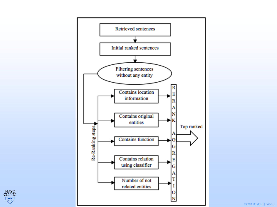



©2013 MFMER | slide-6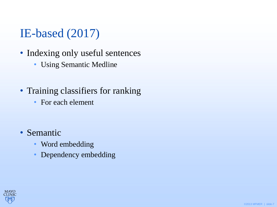## IE-based (2017)

- Indexing only useful sentences
	- Using Semantic Medline
- Training classifiers for ranking
	- For each element

- Semantic
	- Word embedding
	- Dependency embedding

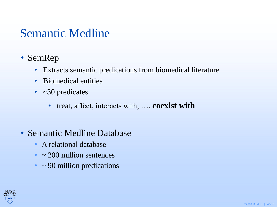## Semantic Medline

- SemRep
	- Extracts semantic predications from biomedical literature
	- Biomedical entities
	- $\sim$  30 predicates
		- treat, affect, interacts with, …, **coexist with**
- Semantic Medline Database
	- A relational database
	- $\sim$  200 million sentences
	- $\cdot$  ~ 90 million predications

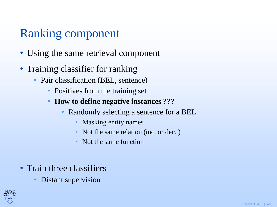## Ranking component

- Using the same retrieval component
- Training classifier for ranking
	- Pair classification (BEL, sentence)
		- Positives from the training set
		- **How to define negative instances ???** 
			- Randomly selecting a sentence for a BEL
				- Masking entity names
				- Not the same relation (inc. or dec. )
				- Not the same function
- Train three classifiers
	- Distant supervision

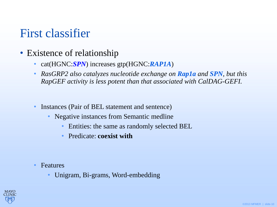## First classifier

- Existence of relationship
	- cat(HGNC:*SPN*) increases gtp(HGNC:*RAP1A*)
	- *RasGRP2 also catalyzes nucleotide exchange on Rap1a and SPN, but this RapGEF activity is less potent than that associated with CalDAG-GEFI.*
	- Instances (Pair of BEL statement and sentence)
		- Negative instances from Semantic medline
			- Entities: the same as randomly selected BEL
			- Predicate: **coexist with**

- Features
	- Unigram, Bi-grams, Word-embedding

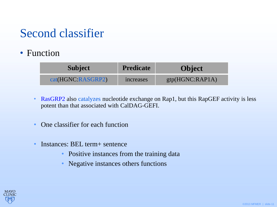## Second classifier

### • Function

| <b>Subject</b>    | <b>Predicate</b> | <b>Object</b>   |
|-------------------|------------------|-----------------|
| cat(HGNC:RASGRP2) | increases        | gtp(HGNC:RAP1A) |

- RasGRP2 also catalyzes nucleotide exchange on Rap1, but this RapGEF activity is less potent than that associated with CalDAG-GEFI.
- One classifier for each function
- Instances: BEL term+ sentence
	- Positive instances from the training data
	- Negative instances others functions

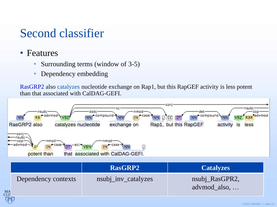## Second classifier

- Features
	- Surrounding terms (window of 3-5)
	- Dependency embedding

RasGRP2 also catalyzes nucleotide exchange on Rap1, but this RapGEF activity is less potent than that associated with CalDAG-GEFI.

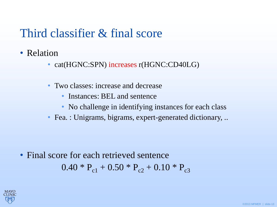## Third classifier & final score

- Relation
	- cat(HGNC:SPN) increases r(HGNC:CD40LG)
	- Two classes: increase and decrease
		- Instances: BEL and sentence
		- No challenge in identifying instances for each class
	- Fea. : Unigrams, bigrams, expert-generated dictionary, ..

### • Final score for each retrieved sentence  $0.40 * P_{c1} + 0.50 * P_{c2} + 0.10 * P_{c3}$

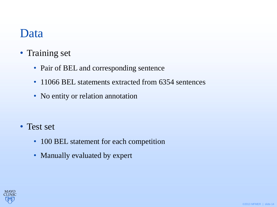### Data

- Training set
	- Pair of BEL and corresponding sentence
	- 11066 BEL statements extracted from 6354 sentences
	- No entity or relation annotation

- Test set
	- 100 BEL statement for each competition
	- Manually evaluated by expert

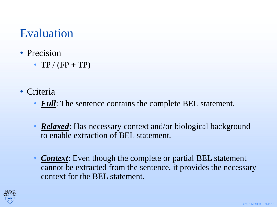## Evaluation

- Precision
	- TP /  $(FP + TP)$
- Criteria
	- *Full*: The sentence contains the complete BEL statement.
	- *Relaxed*: Has necessary context and/or biological background to enable extraction of BEL statement.
	- *Context*: Even though the complete or partial BEL statement cannot be extracted from the sentence, it provides the necessary context for the BEL statement.

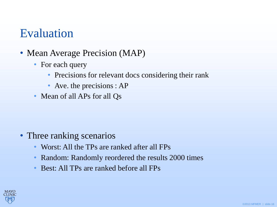## Evaluation

- Mean Average Precision (MAP)
	- For each query
		- Precisions for relevant docs considering their rank
		- Ave. the precisions : AP
	- Mean of all APs for all Qs

- Three ranking scenarios
	- Worst: All the TPs are ranked after all FPs
	- Random: Randomly reordered the results 2000 times
	- Best: All TPs are ranked before all FPs

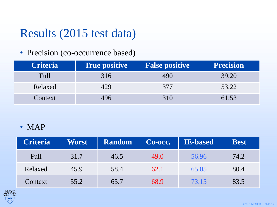## Results (2015 test data)

#### • Precision (co-occurrence based)

| <b>Criteria</b> | <b>True positive</b> | <b>False positive</b> | <b>Precision</b> |
|-----------------|----------------------|-----------------------|------------------|
| <b>Full</b>     | 316                  | 490                   | 39.20            |
| Relaxed         | 429                  | 377                   | 53.22            |
| Context         | 496                  | 310                   | 61.53            |

#### • MAP

| <b>Criteria</b> | Worst | Random | Co-occ. | <b>IE-based</b> | <b>Best</b> |
|-----------------|-------|--------|---------|-----------------|-------------|
| <b>Full</b>     | 31.7  | 46.5   | 49.0    | 56.96           | 74.2        |
| Relaxed         | 45.9  | 58.4   | 62.1    | 65.05           | 80.4        |
| Context         | 55.2  | 65.7   | 68.9    | 73.15           | 83.5        |

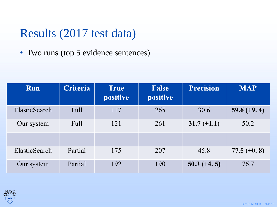## Results (2017 test data)

• Two runs (top 5 evidence sentences)

| Run           | <b>Criteria</b> | <b>True</b><br>positive | <b>False</b><br>positive | <b>Precision</b> | <b>MAP</b>    |
|---------------|-----------------|-------------------------|--------------------------|------------------|---------------|
| ElasticSearch | Full            | 117                     | 265                      | 30.6             | $59.6 (+9.4)$ |
| Our system    | Full            | 121                     | 261                      | $31.7 (+1.1)$    | 50.2          |
| ElasticSearch | Partial         | 175                     | 207                      | 45.8             | $77.5 (+0.8)$ |
| Our system    | Partial         | 192                     | 190                      | $50.3 (+4.5)$    | 76.7          |

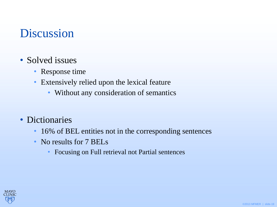## Discussion

- Solved issues
	- Response time
	- Extensively relied upon the lexical feature
		- Without any consideration of semantics
- Dictionaries
	- 16% of BEL entities not in the corresponding sentences
	- No results for 7 BELs
		- Focusing on Full retrieval not Partial sentences

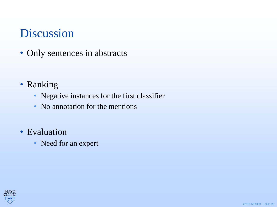## Discussion

• Only sentences in abstracts

- Ranking
	- Negative instances for the first classifier
	- No annotation for the mentions
- Evaluation
	- Need for an expert

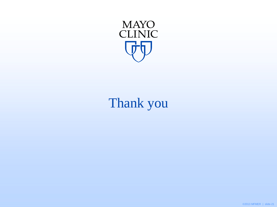

# Thank you

©2013 MFMER | slide-21